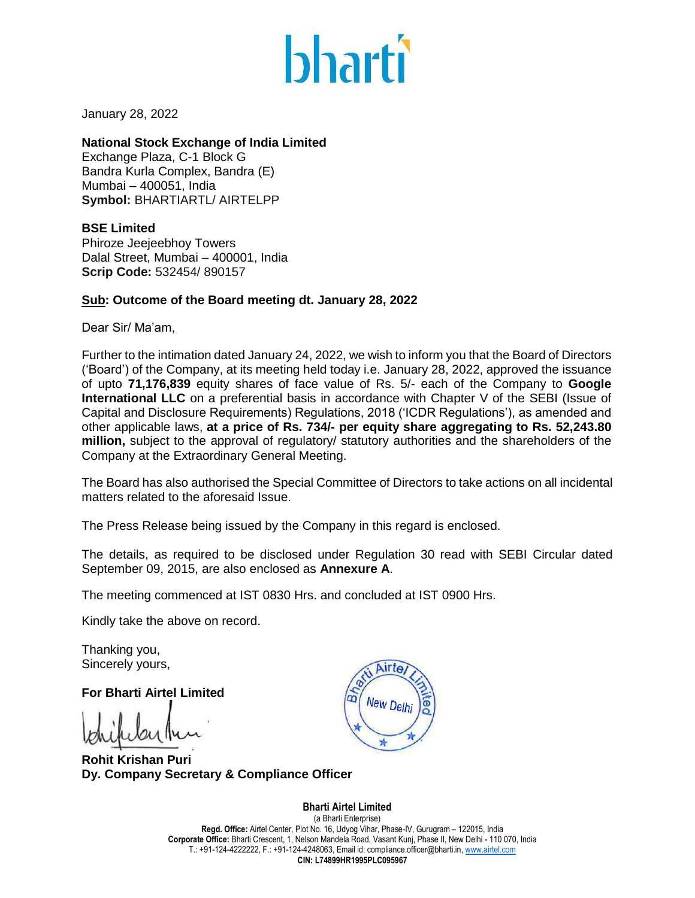

January 28, 2022

# **National Stock Exchange of India Limited**

Exchange Plaza, C-1 Block G Bandra Kurla Complex, Bandra (E) Mumbai – 400051, India **Symbol:** BHARTIARTL/ AIRTELPP

**BSE Limited** Phiroze Jeejeebhoy Towers Dalal Street, Mumbai – 400001, India **Scrip Code:** 532454/ 890157

# **Sub: Outcome of the Board meeting dt. January 28, 2022**

Dear Sir/ Ma'am,

Further to the intimation dated January 24, 2022, we wish to inform you that the Board of Directors ('Board') of the Company, at its meeting held today i.e. January 28, 2022, approved the issuance of upto **71,176,839** equity shares of face value of Rs. 5/- each of the Company to **Google International LLC** on a preferential basis in accordance with Chapter V of the SEBI (Issue of Capital and Disclosure Requirements) Regulations, 2018 ('ICDR Regulations'), as amended and other applicable laws, **at a price of Rs. 734/- per equity share aggregating to Rs. 52,243.80 million,** subject to the approval of regulatory/ statutory authorities and the shareholders of the Company at the Extraordinary General Meeting.

The Board has also authorised the Special Committee of Directors to take actions on all incidental matters related to the aforesaid Issue.

The Press Release being issued by the Company in this regard is enclosed.

The details, as required to be disclosed under Regulation 30 read with SEBI Circular dated September 09, 2015, are also enclosed as **Annexure A**.

The meeting commenced at IST 0830 Hrs. and concluded at IST 0900 Hrs.

Kindly take the above on record.

Thanking you, Sincerely yours,

**For Bharti Airtel Limited**

**Rohit Krishan Puri Dy. Company Secretary & Compliance Officer**



**Bharti Airtel Limited**  (a Bharti Enterprise) **Regd. Office:** Airtel Center, Plot No. 16, Udyog Vihar, Phase-IV, Gurugram – 122015, India **Corporate Office:** Bharti Crescent, 1, Nelson Mandela Road, Vasant Kunj, Phase II, New Delhi - 110 070, India T.: +91-124-4222222, F.: +91-124-4248063, Email id: compliance.officer@bharti.in[, www.airtel.com](http://www.airtel.com/) **CIN: L74899HR1995PLC095967**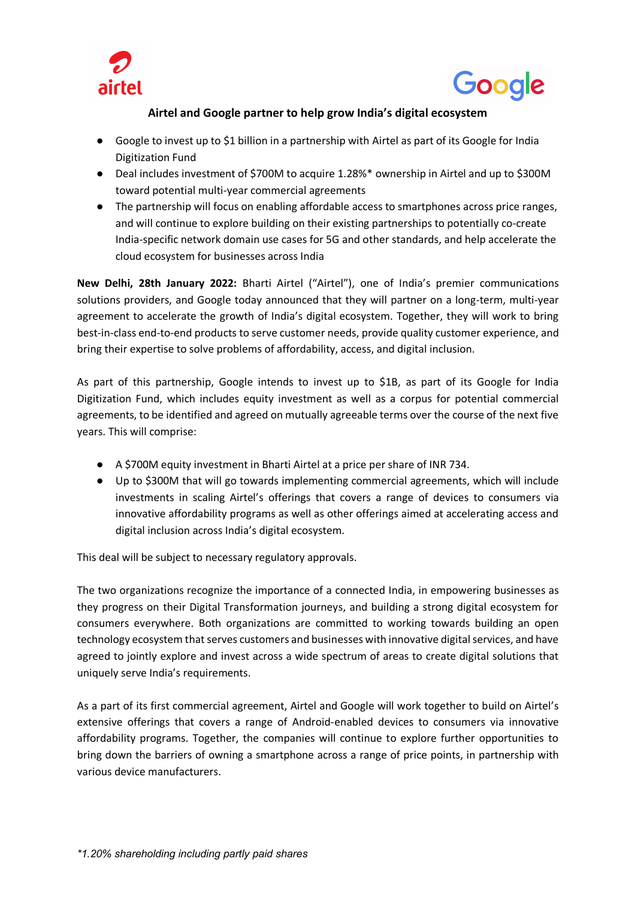



# **Airtel and Google partner to help grow India's digital ecosystem**

- Google to invest up to \$1 billion in a partnership with Airtel as part of its Google for India Digitization Fund
- Deal includes investment of \$700M to acquire 1.28%\* ownership in Airtel and up to \$300M toward potential multi-year commercial agreements
- The partnership will focus on enabling affordable access to smartphones across price ranges, and will continue to explore building on their existing partnerships to potentially co-create India-specific network domain use cases for 5G and other standards, and help accelerate the cloud ecosystem for businesses across India

**New Delhi, 28th January 2022:** Bharti Airtel ("Airtel"), one of India's premier communications solutions providers, and Google today announced that they will partner on a long-term, multi-year agreement to accelerate the growth of India's digital ecosystem. Together, they will work to bring best-in-class end-to-end products to serve customer needs, provide quality customer experience, and bring their expertise to solve problems of affordability, access, and digital inclusion.

As part of this partnership, Google intends to invest up to \$1B, as part of its Google for India Digitization Fund, which includes equity investment as well as a corpus for potential commercial agreements, to be identified and agreed on mutually agreeable terms over the course of the next five years. This will comprise:

- A \$700M equity investment in Bharti Airtel at a price per share of INR 734.
- Up to \$300M that will go towards implementing commercial agreements, which will include investments in scaling Airtel's offerings that covers a range of devices to consumers via innovative affordability programs as well as other offerings aimed at accelerating access and digital inclusion across India's digital ecosystem.

This deal will be subject to necessary regulatory approvals.

The two organizations recognize the importance of a connected India, in empowering businesses as they progress on their Digital Transformation journeys, and building a strong digital ecosystem for consumers everywhere. Both organizations are committed to working towards building an open technology ecosystem that serves customers and businesses with innovative digital services, and have agreed to jointly explore and invest across a wide spectrum of areas to create digital solutions that uniquely serve India's requirements.

As a part of its first commercial agreement, Airtel and Google will work together to build on Airtel's extensive offerings that covers a range of Android-enabled devices to consumers via innovative affordability programs. Together, the companies will continue to explore further opportunities to bring down the barriers of owning a smartphone across a range of price points, in partnership with various device manufacturers.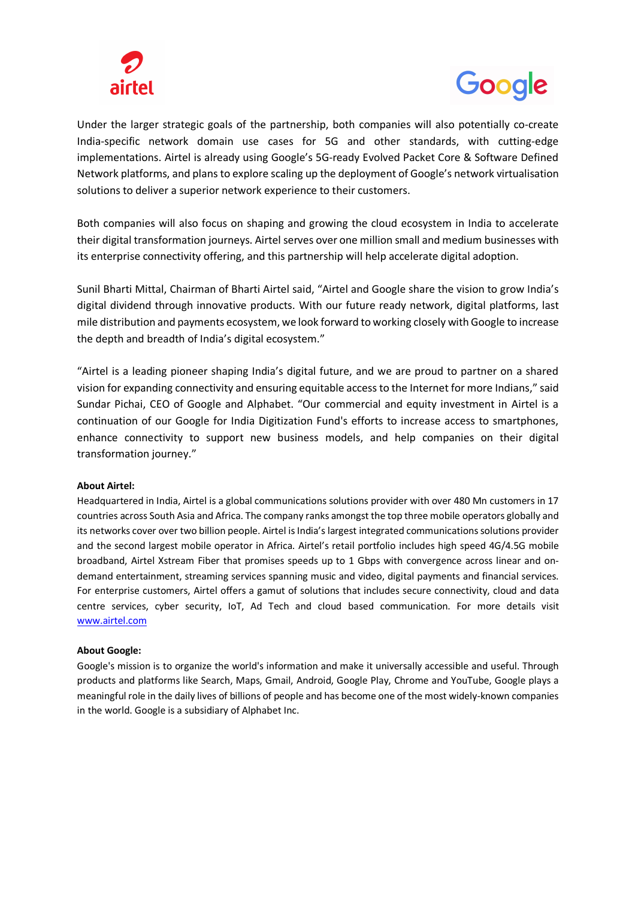



Under the larger strategic goals of the partnership, both companies will also potentially co-create India-specific network domain use cases for 5G and other standards, with cutting-edge implementations. Airtel is already using Google's 5G-ready Evolved Packet Core & Software Defined Network platforms, and plans to explore scaling up the deployment of Google's network virtualisation solutions to deliver a superior network experience to their customers.

Both companies will also focus on shaping and growing the cloud ecosystem in India to accelerate their digital transformation journeys. Airtel serves over one million small and medium businesses with its enterprise connectivity offering, and this partnership will help accelerate digital adoption.

Sunil Bharti Mittal, Chairman of Bharti Airtel said, "Airtel and Google share the vision to grow India's digital dividend through innovative products. With our future ready network, digital platforms, last mile distribution and payments ecosystem, we look forward to working closely with Google to increase the depth and breadth of India's digital ecosystem."

"Airtel is a leading pioneer shaping India's digital future, and we are proud to partner on a shared vision for expanding connectivity and ensuring equitable access to the Internet for more Indians," said Sundar Pichai, CEO of Google and Alphabet. "Our commercial and equity investment in Airtel is a continuation of our Google for India Digitization Fund's efforts to increase access to smartphones, enhance connectivity to support new business models, and help companies on their digital transformation journey."

## **About Airtel:**

Headquartered in India, Airtel is a global communications solutions provider with over 480 Mn customers in 17 countries across South Asia and Africa. The company ranks amongst the top three mobile operators globally and its networks cover over two billion people. Airtel is India's largest integrated communications solutions provider and the second largest mobile operator in Africa. Airtel's retail portfolio includes high speed 4G/4.5G mobile broadband, Airtel Xstream Fiber that promises speeds up to 1 Gbps with convergence across linear and ondemand entertainment, streaming services spanning music and video, digital payments and financial services. For enterprise customers, Airtel offers a gamut of solutions that includes secure connectivity, cloud and data centre services, cyber security, IoT, Ad Tech and cloud based communication. For more details visit www.airtel.com

## **About Google:**

Google's mission is to organize the world's information and make it universally accessible and useful. Through products and platforms like Search, Maps, Gmail, Android, Google Play, Chrome and YouTube, Google plays a meaningful role in the daily lives of billions of people and has become one of the most widely-known companies in the world. Google is a subsidiary of Alphabet Inc.